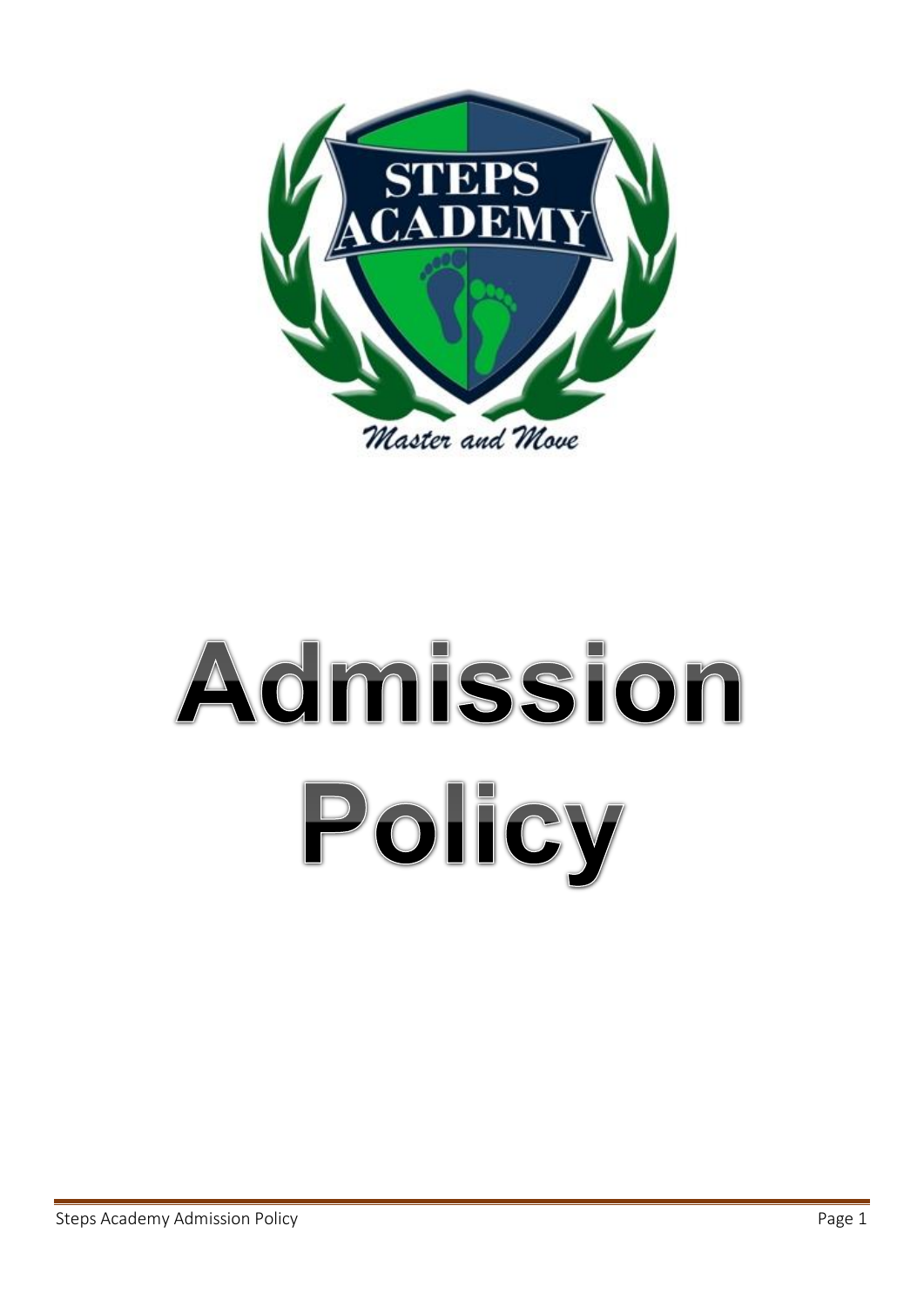

# Admission Policy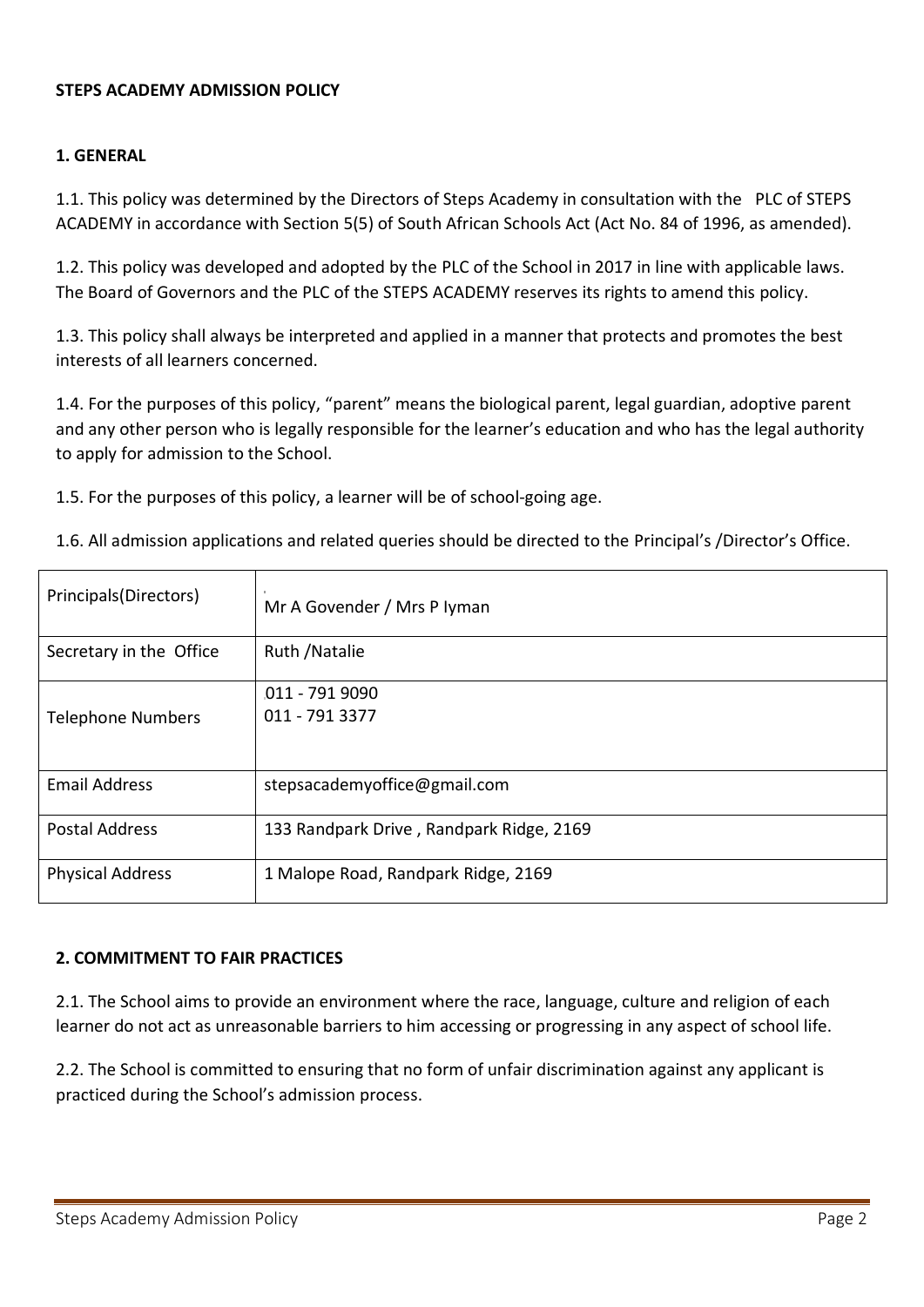#### **STEPS ACADEMY ADMISSION POLICY**

#### **1. GENERAL**

1.1. This policy was determined by the Directors of Steps Academy in consultation with the PLC of STEPS ACADEMY in accordance with Section 5(5) of South African Schools Act (Act No. 84 of 1996, as amended).

1.2. This policy was developed and adopted by the PLC of the School in 2017 in line with applicable laws. The Board of Governors and the PLC of the STEPS ACADEMY reserves its rights to amend this policy.

1.3. This policy shall always be interpreted and applied in a manner that protects and promotes the best interests of all learners concerned.

1.4. For the purposes of this policy, "parent" means the biological parent, legal guardian, adoptive parent and any other person who is legally responsible for the learner's education and who has the legal authority to apply for admission to the School.

1.5. For the purposes of this policy, a learner will be of school-going age.

1.6. All admission applications and related queries should be directed to the Principal's /Director's Office.

| Principals(Directors)    | Mr A Govender / Mrs P Iyman              |
|--------------------------|------------------------------------------|
| Secretary in the Office  | Ruth / Natalie                           |
| <b>Telephone Numbers</b> | 011 - 791 9090<br>011 - 791 3377         |
| <b>Email Address</b>     | stepsacademyoffice@gmail.com             |
| <b>Postal Address</b>    | 133 Randpark Drive, Randpark Ridge, 2169 |
| <b>Physical Address</b>  | 1 Malope Road, Randpark Ridge, 2169      |

#### **2. COMMITMENT TO FAIR PRACTICES**

2.1. The School aims to provide an environment where the race, language, culture and religion of each learner do not act as unreasonable barriers to him accessing or progressing in any aspect of school life.

2.2. The School is committed to ensuring that no form of unfair discrimination against any applicant is practiced during the School's admission process.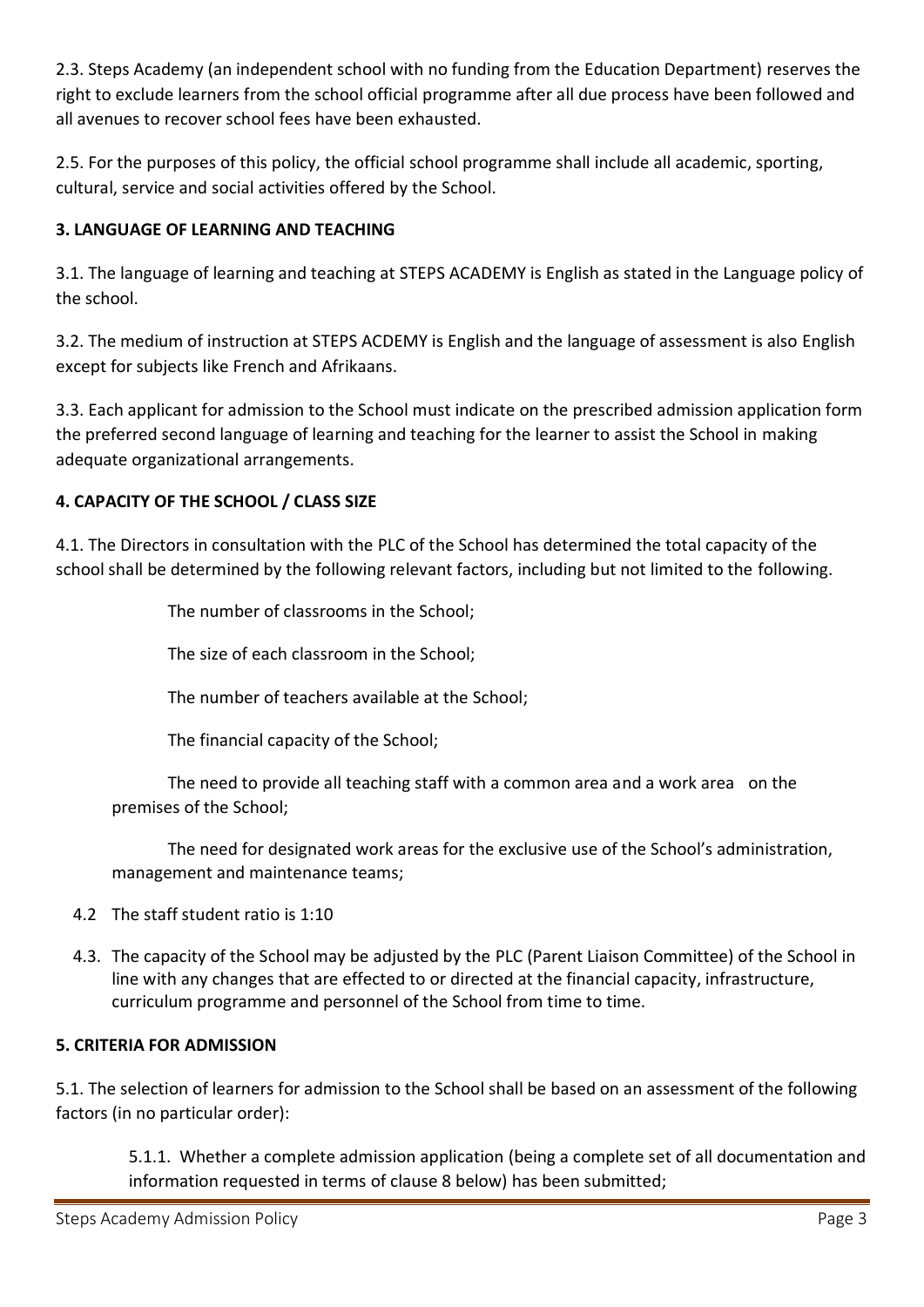2.3. Steps Academy (an independent school with no funding from the Education Department) reserves the right to exclude learners from the school official programme after all due process have been followed and all avenues to recover school fees have been exhausted.

2.5. For the purposes of this policy, the official school programme shall include all academic, sporting, cultural, service and social activities offered by the School.

# **3. LANGUAGE OF LEARNING AND TEACHING**

3.1. The language of learning and teaching at STEPS ACADEMY is English as stated in the Language policy of the school.

3.2. The medium of instruction at STEPS ACDEMY is English and the language of assessment is also English except for subjects like French and Afrikaans.

3.3. Each applicant for admission to the School must indicate on the prescribed admission application form the preferred second language of learning and teaching for the learner to assist the School in making adequate organizational arrangements.

# **4. CAPACITY OF THE SCHOOL / CLASS SIZE**

4.1. The Directors in consultation with the PLC of the School has determined the total capacity of the school shall be determined by the following relevant factors, including but not limited to the following.

The number of classrooms in the School;

The size of each classroom in the School;

The number of teachers available at the School;

The financial capacity of the School;

The need to provide all teaching staff with a common area and a work area on the premises of the School;

The need for designated work areas for the exclusive use of the School's administration, management and maintenance teams;

- 4.2 The staff student ratio is 1:10
- 4.3. The capacity of the School may be adjusted by the PLC (Parent Liaison Committee) of the School in line with any changes that are effected to or directed at the financial capacity, infrastructure, curriculum programme and personnel of the School from time to time.

## **5. CRITERIA FOR ADMISSION**

5.1. The selection of learners for admission to the School shall be based on an assessment of the following factors (in no particular order):

5.1.1. Whether a complete admission application (being a complete set of all documentation and information requested in terms of clause 8 below) has been submitted;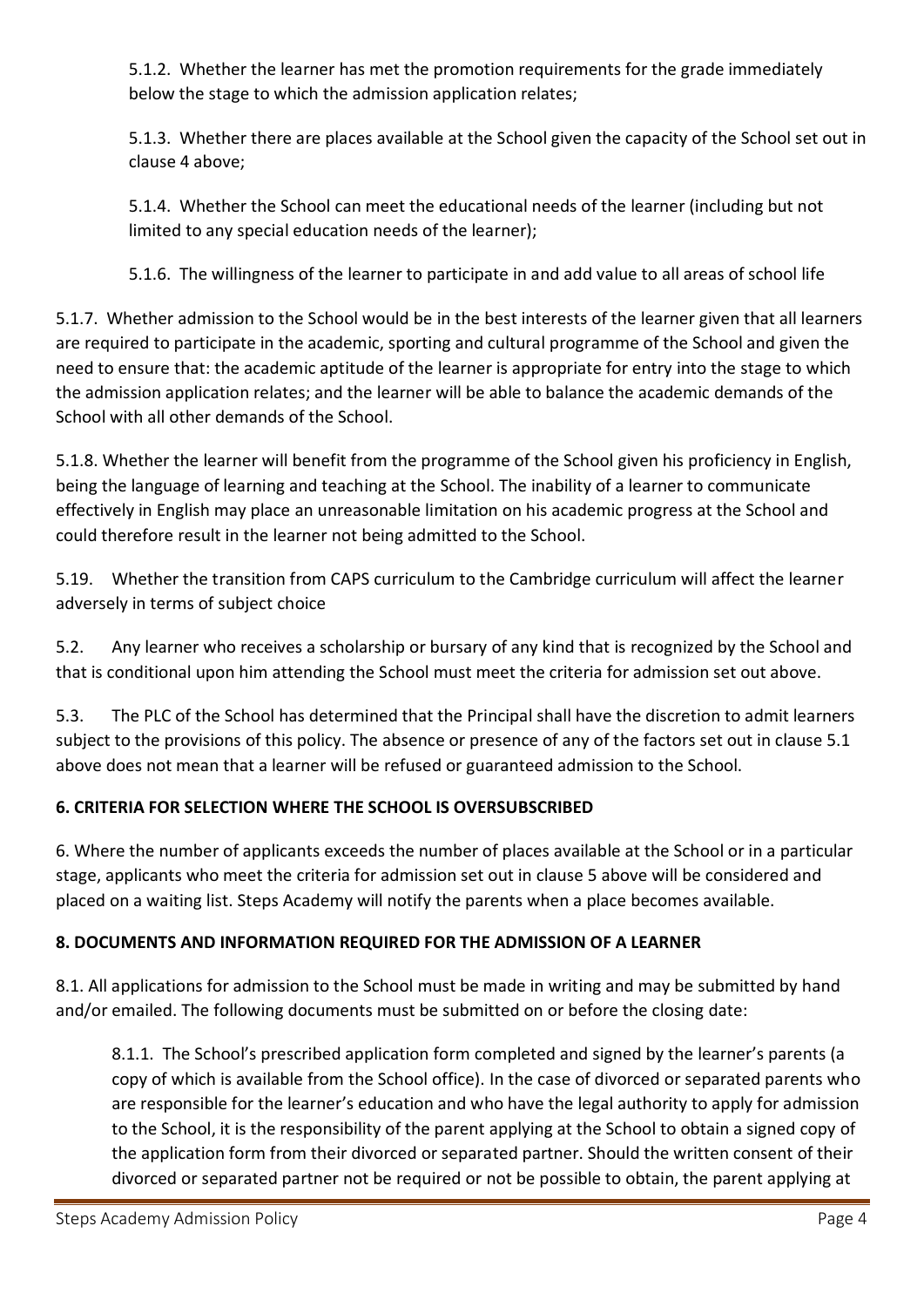5.1.2. Whether the learner has met the promotion requirements for the grade immediately below the stage to which the admission application relates;

5.1.3. Whether there are places available at the School given the capacity of the School set out in clause 4 above;

5.1.4. Whether the School can meet the educational needs of the learner (including but not limited to any special education needs of the learner);

5.1.6. The willingness of the learner to participate in and add value to all areas of school life

5.1.7. Whether admission to the School would be in the best interests of the learner given that all learners are required to participate in the academic, sporting and cultural programme of the School and given the need to ensure that: the academic aptitude of the learner is appropriate for entry into the stage to which the admission application relates; and the learner will be able to balance the academic demands of the School with all other demands of the School.

5.1.8. Whether the learner will benefit from the programme of the School given his proficiency in English, being the language of learning and teaching at the School. The inability of a learner to communicate effectively in English may place an unreasonable limitation on his academic progress at the School and could therefore result in the learner not being admitted to the School.

5.19. Whether the transition from CAPS curriculum to the Cambridge curriculum will affect the learner adversely in terms of subject choice

5.2. Any learner who receives a scholarship or bursary of any kind that is recognized by the School and that is conditional upon him attending the School must meet the criteria for admission set out above.

5.3. The PLC of the School has determined that the Principal shall have the discretion to admit learners subject to the provisions of this policy. The absence or presence of any of the factors set out in clause 5.1 above does not mean that a learner will be refused or guaranteed admission to the School.

# **6. CRITERIA FOR SELECTION WHERE THE SCHOOL IS OVERSUBSCRIBED**

6. Where the number of applicants exceeds the number of places available at the School or in a particular stage, applicants who meet the criteria for admission set out in clause 5 above will be considered and placed on a waiting list. Steps Academy will notify the parents when a place becomes available.

# **8. DOCUMENTS AND INFORMATION REQUIRED FOR THE ADMISSION OF A LEARNER**

8.1. All applications for admission to the School must be made in writing and may be submitted by hand and/or emailed. The following documents must be submitted on or before the closing date:

8.1.1. The School's prescribed application form completed and signed by the learner's parents (a copy of which is available from the School office). In the case of divorced or separated parents who are responsible for the learner's education and who have the legal authority to apply for admission to the School, it is the responsibility of the parent applying at the School to obtain a signed copy of the application form from their divorced or separated partner. Should the written consent of their divorced or separated partner not be required or not be possible to obtain, the parent applying at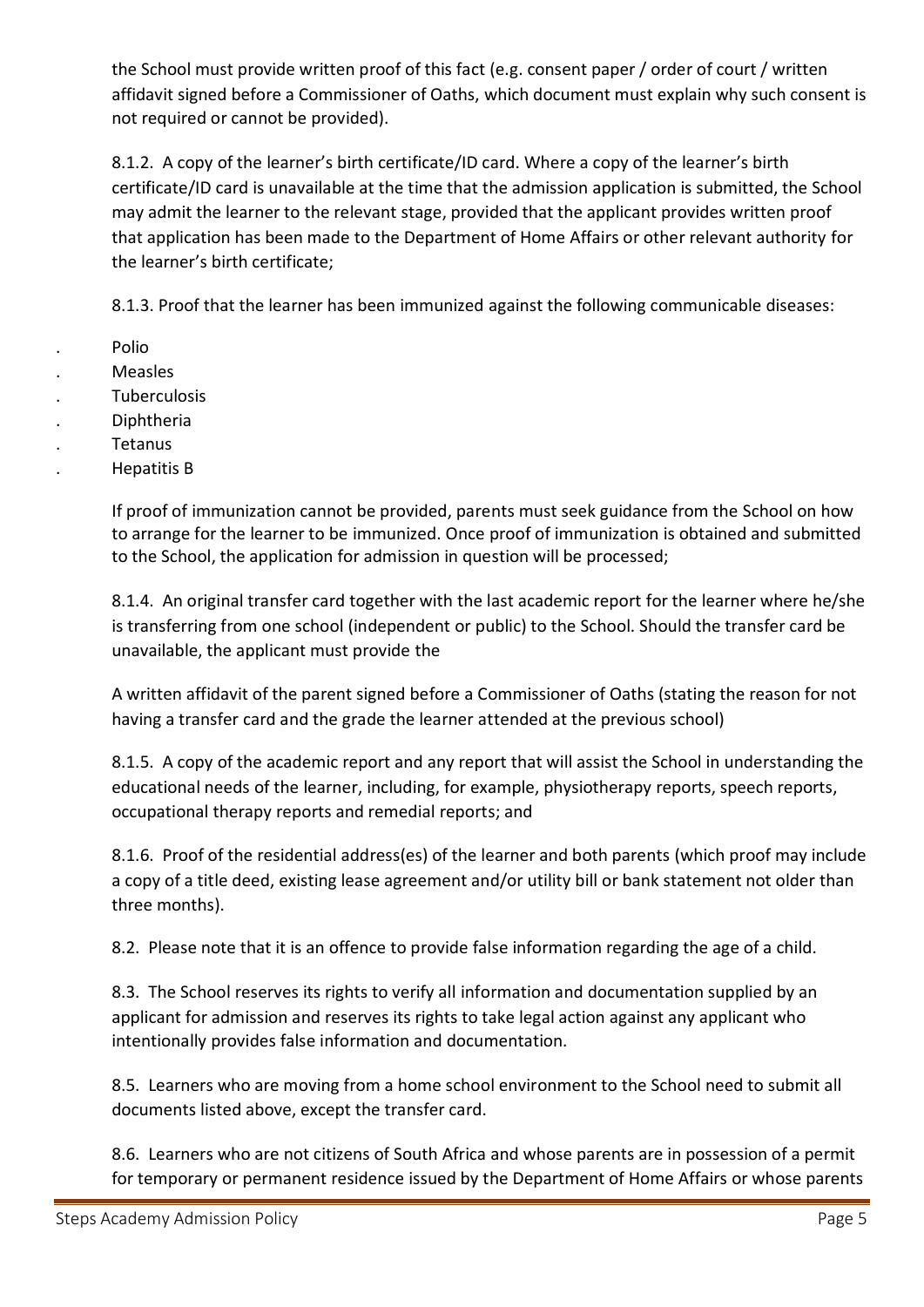the School must provide written proof of this fact (e.g. consent paper / order of court / written affidavit signed before a Commissioner of Oaths, which document must explain why such consent is not required or cannot be provided).

8.1.2. A copy of the learner's birth certificate/ID card. Where a copy of the learner's birth certificate/ID card is unavailable at the time that the admission application is submitted, the School may admit the learner to the relevant stage, provided that the applicant provides written proof that application has been made to the Department of Home Affairs or other relevant authority for the learner's birth certificate;

8.1.3. Proof that the learner has been immunized against the following communicable diseases:

- . Polio
- . Measles
- . Tuberculosis
- . Diphtheria
- . Tetanus
- . Hepatitis B

If proof of immunization cannot be provided, parents must seek guidance from the School on how to arrange for the learner to be immunized. Once proof of immunization is obtained and submitted to the School, the application for admission in question will be processed;

8.1.4. An original transfer card together with the last academic report for the learner where he/she is transferring from one school (independent or public) to the School. Should the transfer card be unavailable, the applicant must provide the

A written affidavit of the parent signed before a Commissioner of Oaths (stating the reason for not having a transfer card and the grade the learner attended at the previous school)

8.1.5. A copy of the academic report and any report that will assist the School in understanding the educational needs of the learner, including, for example, physiotherapy reports, speech reports, occupational therapy reports and remedial reports; and

8.1.6. Proof of the residential address(es) of the learner and both parents (which proof may include a copy of a title deed, existing lease agreement and/or utility bill or bank statement not older than three months).

8.2. Please note that it is an offence to provide false information regarding the age of a child.

8.3. The School reserves its rights to verify all information and documentation supplied by an applicant for admission and reserves its rights to take legal action against any applicant who intentionally provides false information and documentation.

8.5. Learners who are moving from a home school environment to the School need to submit all documents listed above, except the transfer card.

8.6. Learners who are not citizens of South Africa and whose parents are in possession of a permit for temporary or permanent residence issued by the Department of Home Affairs or whose parents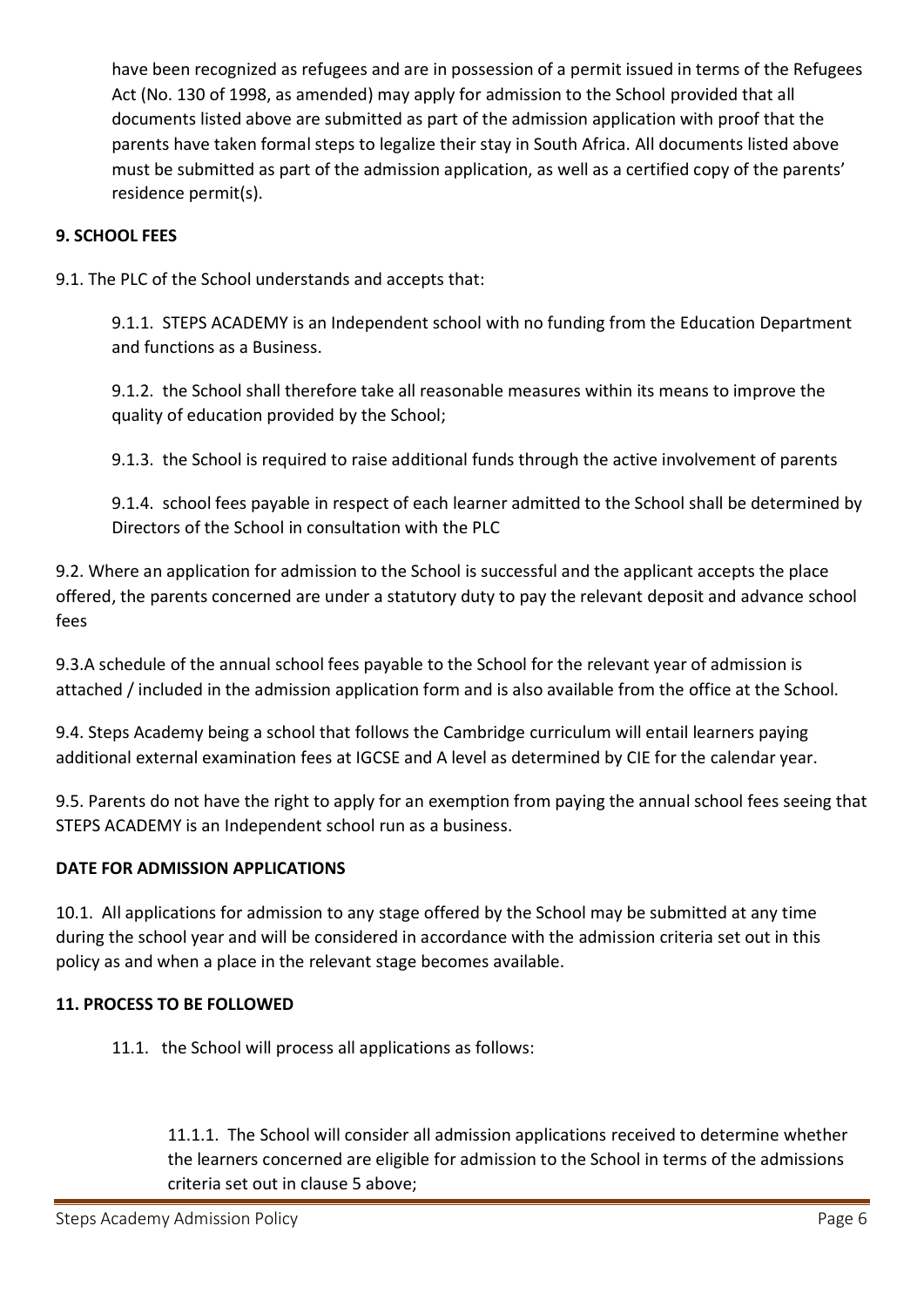have been recognized as refugees and are in possession of a permit issued in terms of the Refugees Act (No. 130 of 1998, as amended) may apply for admission to the School provided that all documents listed above are submitted as part of the admission application with proof that the parents have taken formal steps to legalize their stay in South Africa. All documents listed above must be submitted as part of the admission application, as well as a certified copy of the parents' residence permit(s).

## **9. SCHOOL FEES**

9.1. The PLC of the School understands and accepts that:

9.1.1. STEPS ACADEMY is an Independent school with no funding from the Education Department and functions as a Business.

9.1.2. the School shall therefore take all reasonable measures within its means to improve the quality of education provided by the School;

9.1.3. the School is required to raise additional funds through the active involvement of parents

9.1.4. school fees payable in respect of each learner admitted to the School shall be determined by Directors of the School in consultation with the PLC

9.2. Where an application for admission to the School is successful and the applicant accepts the place offered, the parents concerned are under a statutory duty to pay the relevant deposit and advance school fees

9.3.A schedule of the annual school fees payable to the School for the relevant year of admission is attached / included in the admission application form and is also available from the office at the School.

9.4. Steps Academy being a school that follows the Cambridge curriculum will entail learners paying additional external examination fees at IGCSE and A level as determined by CIE for the calendar year.

9.5. Parents do not have the right to apply for an exemption from paying the annual school fees seeing that STEPS ACADEMY is an Independent school run as a business.

### **DATE FOR ADMISSION APPLICATIONS**

10.1. All applications for admission to any stage offered by the School may be submitted at any time during the school year and will be considered in accordance with the admission criteria set out in this policy as and when a place in the relevant stage becomes available.

### **11. PROCESS TO BE FOLLOWED**

11.1. the School will process all applications as follows:

11.1.1. The School will consider all admission applications received to determine whether the learners concerned are eligible for admission to the School in terms of the admissions criteria set out in clause 5 above;